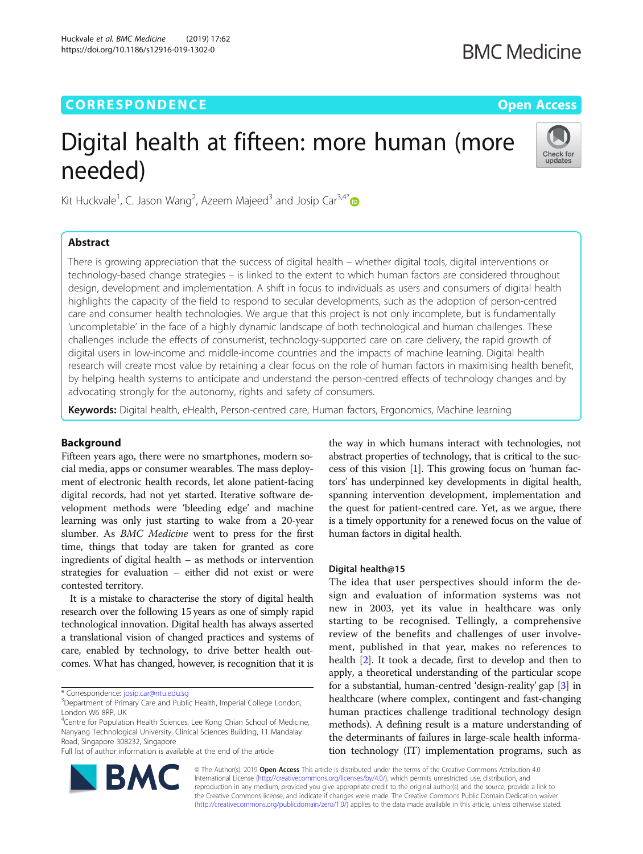# **CORRESPONDENCE CORRESPONDENCE** *CORRESPONDENCE*

# Digital health at fifteen: more human (more needed)



Kit Huckvale<sup>1</sup>, C. Jason Wang<sup>2</sup>, Azeem Majeed<sup>3</sup> and Josip Car<sup>3,4[\\*](http://orcid.org/0000-0001-8969-371X)</sup>

# Abstract

There is growing appreciation that the success of digital health – whether digital tools, digital interventions or technology-based change strategies – is linked to the extent to which human factors are considered throughout design, development and implementation. A shift in focus to individuals as users and consumers of digital health highlights the capacity of the field to respond to secular developments, such as the adoption of person-centred care and consumer health technologies. We argue that this project is not only incomplete, but is fundamentally 'uncompletable' in the face of a highly dynamic landscape of both technological and human challenges. These challenges include the effects of consumerist, technology-supported care on care delivery, the rapid growth of digital users in low-income and middle-income countries and the impacts of machine learning. Digital health research will create most value by retaining a clear focus on the role of human factors in maximising health benefit, by helping health systems to anticipate and understand the person-centred effects of technology changes and by advocating strongly for the autonomy, rights and safety of consumers.

Keywords: Digital health, eHealth, Person-centred care, Human factors, Ergonomics, Machine learning

# Background

Fifteen years ago, there were no smartphones, modern social media, apps or consumer wearables. The mass deployment of electronic health records, let alone patient-facing digital records, had not yet started. Iterative software development methods were 'bleeding edge' and machine learning was only just starting to wake from a 20-year slumber. As BMC Medicine went to press for the first time, things that today are taken for granted as core ingredients of digital health – as methods or intervention strategies for evaluation – either did not exist or were contested territory.

It is a mistake to characterise the story of digital health research over the following 15 years as one of simply rapid technological innovation. Digital health has always asserted a translational vision of changed practices and systems of care, enabled by technology, to drive better health outcomes. What has changed, however, is recognition that it is

\* Correspondence: [josip.car@ntu.edu.sg](mailto:josip.car@ntu.edu.sg) <sup>3</sup>

Full list of author information is available at the end of the article



# Digital health@15

The idea that user perspectives should inform the design and evaluation of information systems was not new in 2003, yet its value in healthcare was only starting to be recognised. Tellingly, a comprehensive review of the benefits and challenges of user involvement, published in that year, makes no references to health [\[2](#page-3-0)]. It took a decade, first to develop and then to apply, a theoretical understanding of the particular scope for a substantial, human-centred 'design-reality' gap [[3](#page-3-0)] in healthcare (where complex, contingent and fast-changing human practices challenge traditional technology design methods). A defining result is a mature understanding of the determinants of failures in large-scale health information technology (IT) implementation programs, such as



© The Author(s). 2019 Open Access This article is distributed under the terms of the Creative Commons Attribution 4.0 International License [\(http://creativecommons.org/licenses/by/4.0/](http://creativecommons.org/licenses/by/4.0/)), which permits unrestricted use, distribution, and reproduction in any medium, provided you give appropriate credit to the original author(s) and the source, provide a link to the Creative Commons license, and indicate if changes were made. The Creative Commons Public Domain Dedication waiver [\(http://creativecommons.org/publicdomain/zero/1.0/](http://creativecommons.org/publicdomain/zero/1.0/)) applies to the data made available in this article, unless otherwise stated.

<sup>&</sup>lt;sup>3</sup>Department of Primary Care and Public Health, Imperial College London, London W6 8RP, UK

<sup>&</sup>lt;sup>4</sup>Centre for Population Health Sciences, Lee Kong Chian School of Medicine, Nanyang Technological University, Clinical Sciences Building, 11 Mandalay Road, Singapore 308232, Singapore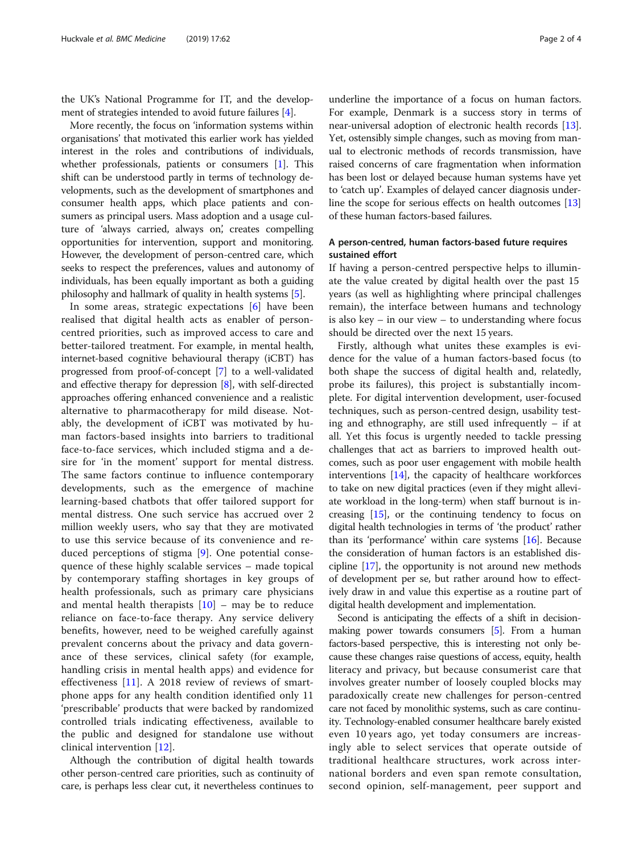the UK's National Programme for IT, and the development of strategies intended to avoid future failures [\[4\]](#page-3-0).

More recently, the focus on 'information systems within organisations' that motivated this earlier work has yielded interest in the roles and contributions of individuals, whether professionals, patients or consumers [\[1](#page-3-0)]. This shift can be understood partly in terms of technology developments, such as the development of smartphones and consumer health apps, which place patients and consumers as principal users. Mass adoption and a usage culture of 'always carried, always on', creates compelling opportunities for intervention, support and monitoring. However, the development of person-centred care, which seeks to respect the preferences, values and autonomy of individuals, has been equally important as both a guiding philosophy and hallmark of quality in health systems [[5\]](#page-3-0).

In some areas, strategic expectations [[6\]](#page-3-0) have been realised that digital health acts as enabler of personcentred priorities, such as improved access to care and better-tailored treatment. For example, in mental health, internet-based cognitive behavioural therapy (iCBT) has progressed from proof-of-concept [[7](#page-3-0)] to a well-validated and effective therapy for depression [\[8](#page-3-0)], with self-directed approaches offering enhanced convenience and a realistic alternative to pharmacotherapy for mild disease. Notably, the development of iCBT was motivated by human factors-based insights into barriers to traditional face-to-face services, which included stigma and a desire for 'in the moment' support for mental distress. The same factors continue to influence contemporary developments, such as the emergence of machine learning-based chatbots that offer tailored support for mental distress. One such service has accrued over 2 million weekly users, who say that they are motivated to use this service because of its convenience and reduced perceptions of stigma [[9\]](#page-3-0). One potential consequence of these highly scalable services – made topical by contemporary staffing shortages in key groups of health professionals, such as primary care physicians and mental health therapists  $[10]$  $[10]$  – may be to reduce reliance on face-to-face therapy. Any service delivery benefits, however, need to be weighed carefully against prevalent concerns about the privacy and data governance of these services, clinical safety (for example, handling crisis in mental health apps) and evidence for effectiveness [\[11](#page-3-0)]. A 2018 review of reviews of smartphone apps for any health condition identified only 11 'prescribable' products that were backed by randomized controlled trials indicating effectiveness, available to the public and designed for standalone use without clinical intervention [[12\]](#page-3-0).

Although the contribution of digital health towards other person-centred care priorities, such as continuity of care, is perhaps less clear cut, it nevertheless continues to

underline the importance of a focus on human factors. For example, Denmark is a success story in terms of near-universal adoption of electronic health records [[13](#page-3-0)]. Yet, ostensibly simple changes, such as moving from manual to electronic methods of records transmission, have raised concerns of care fragmentation when information has been lost or delayed because human systems have yet to 'catch up'. Examples of delayed cancer diagnosis underline the scope for serious effects on health outcomes [[13](#page-3-0)] of these human factors-based failures.

# A person-centred, human factors-based future requires sustained effort

If having a person-centred perspective helps to illuminate the value created by digital health over the past 15 years (as well as highlighting where principal challenges remain), the interface between humans and technology is also key – in our view – to understanding where focus should be directed over the next 15 years.

Firstly, although what unites these examples is evidence for the value of a human factors-based focus (to both shape the success of digital health and, relatedly, probe its failures), this project is substantially incomplete. For digital intervention development, user-focused techniques, such as person-centred design, usability testing and ethnography, are still used infrequently – if at all. Yet this focus is urgently needed to tackle pressing challenges that act as barriers to improved health outcomes, such as poor user engagement with mobile health interventions [[14](#page-3-0)], the capacity of healthcare workforces to take on new digital practices (even if they might alleviate workload in the long-term) when staff burnout is increasing [[15\]](#page-3-0), or the continuing tendency to focus on digital health technologies in terms of 'the product' rather than its 'performance' within care systems [[16](#page-3-0)]. Because the consideration of human factors is an established discipline [\[17\]](#page-3-0), the opportunity is not around new methods of development per se, but rather around how to effectively draw in and value this expertise as a routine part of digital health development and implementation.

Second is anticipating the effects of a shift in decisionmaking power towards consumers [[5\]](#page-3-0). From a human factors-based perspective, this is interesting not only because these changes raise questions of access, equity, health literacy and privacy, but because consumerist care that involves greater number of loosely coupled blocks may paradoxically create new challenges for person-centred care not faced by monolithic systems, such as care continuity. Technology-enabled consumer healthcare barely existed even 10 years ago, yet today consumers are increasingly able to select services that operate outside of traditional healthcare structures, work across international borders and even span remote consultation, second opinion, self-management, peer support and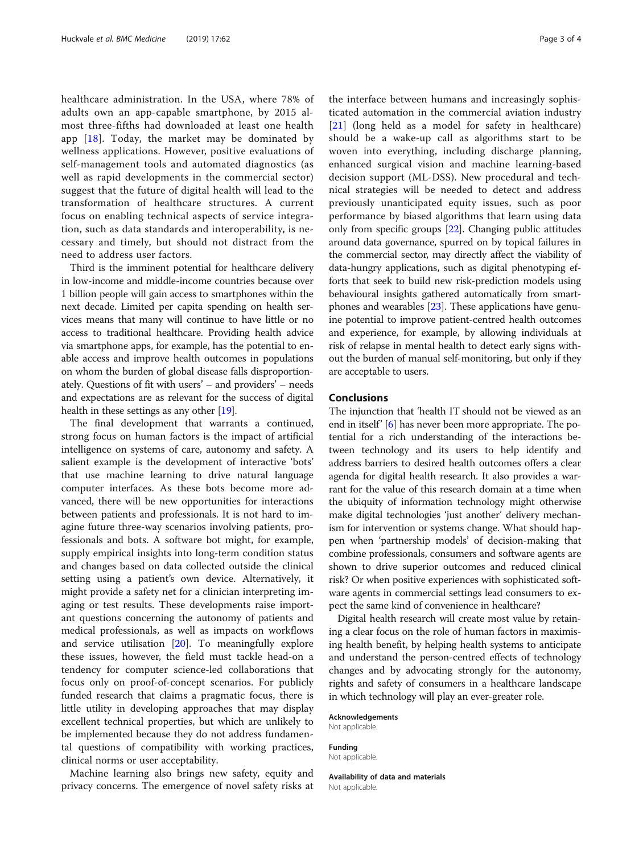healthcare administration. In the USA, where 78% of adults own an app-capable smartphone, by 2015 almost three-fifths had downloaded at least one health app  $[18]$  $[18]$  $[18]$ . Today, the market may be dominated by wellness applications. However, positive evaluations of self-management tools and automated diagnostics (as well as rapid developments in the commercial sector) suggest that the future of digital health will lead to the transformation of healthcare structures. A current focus on enabling technical aspects of service integration, such as data standards and interoperability, is necessary and timely, but should not distract from the need to address user factors.

Third is the imminent potential for healthcare delivery in low-income and middle-income countries because over 1 billion people will gain access to smartphones within the next decade. Limited per capita spending on health services means that many will continue to have little or no access to traditional healthcare. Providing health advice via smartphone apps, for example, has the potential to enable access and improve health outcomes in populations on whom the burden of global disease falls disproportionately. Questions of fit with users' – and providers' – needs and expectations are as relevant for the success of digital health in these settings as any other [[19](#page-3-0)].

The final development that warrants a continued, strong focus on human factors is the impact of artificial intelligence on systems of care, autonomy and safety. A salient example is the development of interactive 'bots' that use machine learning to drive natural language computer interfaces. As these bots become more advanced, there will be new opportunities for interactions between patients and professionals. It is not hard to imagine future three-way scenarios involving patients, professionals and bots. A software bot might, for example, supply empirical insights into long-term condition status and changes based on data collected outside the clinical setting using a patient's own device. Alternatively, it might provide a safety net for a clinician interpreting imaging or test results. These developments raise important questions concerning the autonomy of patients and medical professionals, as well as impacts on workflows and service utilisation [\[20\]](#page-3-0). To meaningfully explore these issues, however, the field must tackle head-on a tendency for computer science-led collaborations that focus only on proof-of-concept scenarios. For publicly funded research that claims a pragmatic focus, there is little utility in developing approaches that may display excellent technical properties, but which are unlikely to be implemented because they do not address fundamental questions of compatibility with working practices, clinical norms or user acceptability.

Machine learning also brings new safety, equity and privacy concerns. The emergence of novel safety risks at

the interface between humans and increasingly sophisticated automation in the commercial aviation industry [[21\]](#page-3-0) (long held as a model for safety in healthcare) should be a wake-up call as algorithms start to be woven into everything, including discharge planning, enhanced surgical vision and machine learning-based decision support (ML-DSS). New procedural and technical strategies will be needed to detect and address previously unanticipated equity issues, such as poor performance by biased algorithms that learn using data only from specific groups [[22](#page-3-0)]. Changing public attitudes around data governance, spurred on by topical failures in the commercial sector, may directly affect the viability of data-hungry applications, such as digital phenotyping efforts that seek to build new risk-prediction models using behavioural insights gathered automatically from smartphones and wearables [\[23\]](#page-3-0). These applications have genuine potential to improve patient-centred health outcomes and experience, for example, by allowing individuals at risk of relapse in mental health to detect early signs without the burden of manual self-monitoring, but only if they are acceptable to users.

# Conclusions

The injunction that 'health IT should not be viewed as an end in itself' [[6\]](#page-3-0) has never been more appropriate. The potential for a rich understanding of the interactions between technology and its users to help identify and address barriers to desired health outcomes offers a clear agenda for digital health research. It also provides a warrant for the value of this research domain at a time when the ubiquity of information technology might otherwise make digital technologies 'just another' delivery mechanism for intervention or systems change. What should happen when 'partnership models' of decision-making that combine professionals, consumers and software agents are shown to drive superior outcomes and reduced clinical risk? Or when positive experiences with sophisticated software agents in commercial settings lead consumers to expect the same kind of convenience in healthcare?

Digital health research will create most value by retaining a clear focus on the role of human factors in maximising health benefit, by helping health systems to anticipate and understand the person-centred effects of technology changes and by advocating strongly for the autonomy, rights and safety of consumers in a healthcare landscape in which technology will play an ever-greater role.

## Acknowledgements

Not applicable.

Funding Not applicable.

Availability of data and materials Not applicable.